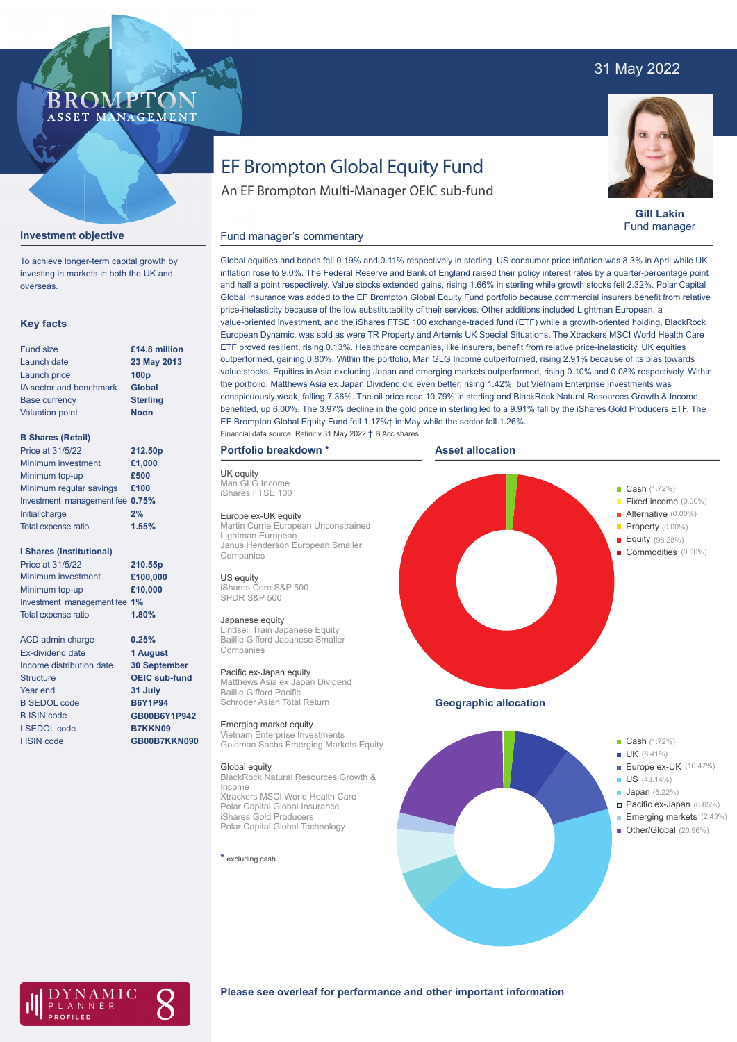# 31 May 2022

# **BROMP** ASSET MANAGEMENT

# EF Brompton Global Equity Fund

An EF Brompton Multi-Manager OEIC sub-fund



**Gill Lakin** Fund manager

Fixed income (0.00%)

Property (0.00%) Equity (98.28%) Commodities (0.00%)

# Fund manager's commentary



To achieve longer-term capital growth by investing in markets in both the UK and overseas.

# **Key facts**

| <b>Fund size</b>        | £14.8 million    |
|-------------------------|------------------|
| Launch date             | 23 May 2013      |
| Launch price            | 100 <sub>p</sub> |
| IA sector and benchmark | <b>Global</b>    |
| <b>Base currency</b>    | <b>Sterling</b>  |
| <b>Valuation point</b>  | <b>Noon</b>      |
|                         |                  |

# **B Shares (Retail)**

| 212.50p                         |
|---------------------------------|
| £1,000                          |
| £500                            |
| £100                            |
| Investment management fee 0.75% |
| 2%                              |
| 1.55%                           |
|                                 |

# **I Shares (Institutional)**

| Price at 31/5/22             | 210.55p  |
|------------------------------|----------|
| Minimum investment           | £100,000 |
| Minimum top-up               | £10,000  |
| Investment management fee 1% |          |
| <b>Total expense ratio</b>   | 1.80%    |

**0.25% 1 August 30 September OEIC sub-fund 31 July B6Y1P94 GB00B6Y1P942 B7KKN09 GB00B7KKN090**

ACD admin charge Ex-dividend date Income distribution date **Structure** Year end B SEDOL code B ISIN code I SEDOL code I ISIN code

Global equities and bonds fell 0.19% and 0.11% respectively in sterling. US consumer price inflation was 8.3% in April while UK inflation rose to 9.0%. The Federal Reserve and Bank of England raised their policy interest rates by a quarter-percentage point and half a point respectively. Value stocks extended gains, rising 1.66% in sterling while growth stocks fell 2.32%. Polar Capital Global Insurance was added to the EF Brompton Global Equity Fund portfolio because commercial insurers benefit from relative price-inelasticity because of the low substitutability of their services. Other additions included Lightman European, a value-oriented investment, and the iShares FTSE 100 exchange-traded fund (ETF) while a growth-oriented holding, BlackRock European Dynamic, was sold as were TR Property and Artemis UK Special Situations. The Xtrackers MSCI World Health Care ETF proved resilient, rising 0.13%. Healthcare companies, like insurers, benefit from relative price-inelasticity. UK equities outperformed, gaining 0.80%. Within the portfolio, Man GLG Income outperformed, rising 2.91% because of its bias towards value stocks. Equities in Asia excluding Japan and emerging markets outperformed, rising 0.10% and 0.08% respectively. Within the portfolio, Matthews Asia ex Japan Dividend did even better, rising 1.42%, but Vietnam Enterprise Investments was conspicuously weak, falling 7.36%. The oil price rose 10.79% in sterling and BlackRock Natural Resources Growth & Income benefited, up 6.00%. The 3.97% decline in the gold price in sterling led to a 9.91% fall by the iShares Gold Producers ETF. The EF Brompton Global Equity Fund fell 1.17%† in May while the sector fell 1.26%.

# Financial data source: Refinitiv 31 May 2022 † B Acc shares



UK equity Man GLG Income iShares FTSE 100

### Europe ex-UK equity

Martin Currie European Unconstrained Lightman European Janus Henderson European Smaller Companies

US equity iShares Core S&P 500 SPDR S&P 500

### Japanese equity

Lindsell Train Japanese Equity Baillie Gifford Japanese Smaller Companies

### Pacific ex-Japan equity Matthews Asia ex Japan Dividend Baillie Gifford Pacific Schroder Asian Total Return

Emerging market equity Vietnam Enterprise Investments Goldman Sachs Emerging Markets Equity

## Global equity

BlackRock Natural Resources Growth & Income Xtrackers MSCI World Health Care Polar Capital Global Insurance iShares Gold Producers Polar Capital Global Technology

**\*** excluding cash





Cash (1.72%)



# **Please see overleaf for performance and other important information**

# **Alternative** (0.00%)

**Asset allocation**